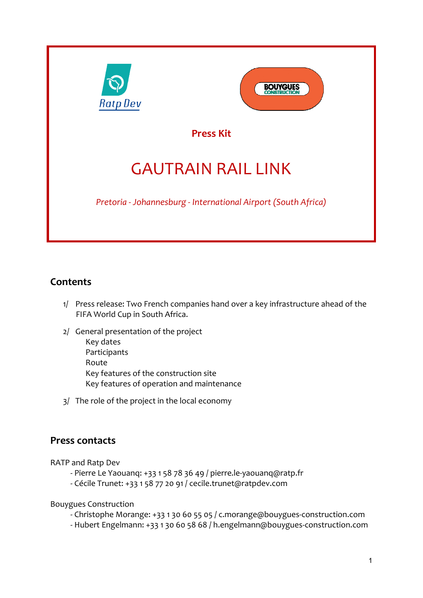



**Press Kit**

# GAUTRAIN RAIL LINK

*Pretoria - Johannesburg - International Airport (South Africa)*

## **Contents**

- 1/ Press release: Two French companies hand over a key infrastructure ahead of the FIFA World Cup in South Africa.
- 2/ General presentation of the project Key dates Participants Route Key features of the construction site Key features of operation and maintenance
- 3/ The role of the project in the local economy

## **Press contacts**

RATP and Ratp Dev

- Pierre Le Yaouanq: +33 1 58 78 36 49 / pierre.le-yaouanq@ratp.fr
- Cécile Trunet: +33 1 58 77 20 91 / cecile.trunet@ratpdev.com

Bouygues Construction

- Christophe Morange: +33 1 30 60 55 05 / c.morange@bouygues-construction.com
- Hubert Engelmann: +33 1 30 60 58 68 / h.engelmann@bouygues-construction.com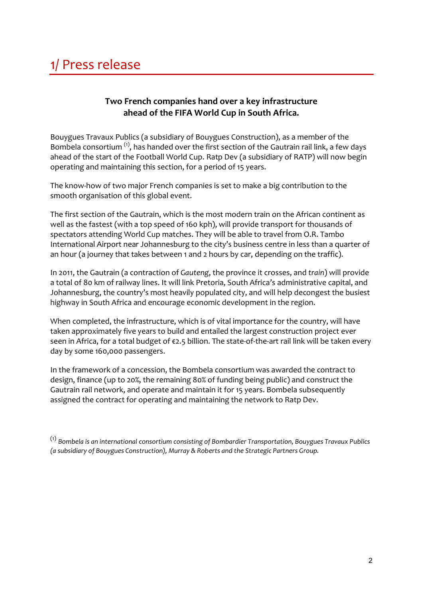## 1/ Press release

### **Two French companies hand over a key infrastructure ahead of the FIFA World Cup in South Africa.**

Bouygues Travaux Publics (a subsidiary of Bouygues Construction), as a member of the Bombela consortium  $<sup>(1)</sup>$ , has handed over the first section of the Gautrain rail link, a few days</sup> ahead of the start of the Football World Cup. Ratp Dev (a subsidiary of RATP) will now begin operating and maintaining this section, for a period of 15 years.

The know-how of two major French companies is set to make a big contribution to the smooth organisation of this global event.

The first section of the Gautrain, which is the most modern train on the African continent as well as the fastest (with a top speed of 160 kph), will provide transport for thousands of spectators attending World Cup matches. They will be able to travel from O.R. Tambo International Airport near Johannesburg to the city's business centre in less than a quarter of an hour (a journey that takes between 1 and 2 hours by car, depending on the traffic).

In 2011, the Gautrain (a contraction of *Gauteng*, the province it crosses, and *train*) will provide a total of 80 km of railway lines. It will link Pretoria, South Africa's administrative capital, and Johannesburg, the country's most heavily populated city, and will help decongest the busiest highway in South Africa and encourage economic development in the region.

When completed, the infrastructure, which is of vital importance for the country, will have taken approximately five years to build and entailed the largest construction project ever seen in Africa, for a total budget of €2.5 billion. The state-of-the-art rail link will be taken every day by some 160,000 passengers.

In the framework of a concession, the Bombela consortium was awarded the contract to design, finance (up to 20%, the remaining 80% of funding being public) and construct the Gautrain rail network, and operate and maintain it for 15 years. Bombela subsequently assigned the contract for operating and maintaining the network to Ratp Dev.

<sup>(1)</sup> *Bombela is an international consortium consisting of Bombardier Transportation, Bouygues Travaux Publics (a subsidiary of Bouygues Construction), Murray & Roberts and the Strategic Partners Group.*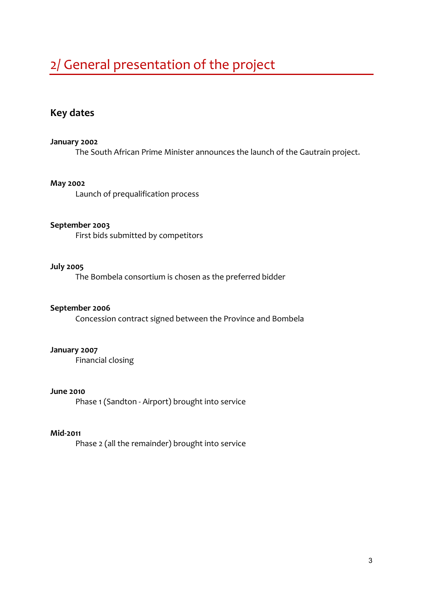## 2/ General presentation of the project

### **Key dates**

#### **January 2002**

The South African Prime Minister announces the launch of the Gautrain project.

#### **May 2002**

Launch of prequalification process

#### **September 2003**

First bids submitted by competitors

#### **July 2005**

The Bombela consortium is chosen as the preferred bidder

#### **September 2006**

Concession contract signed between the Province and Bombela

#### **January 2007**

Financial closing

#### **June 2010**

Phase 1 (Sandton - Airport) brought into service

#### **Mid-2011**

Phase 2 (all the remainder) brought into service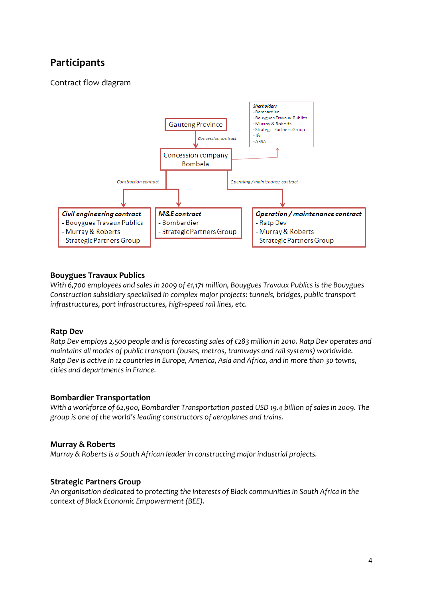## **Participants**

Contract flow diagram



#### **Bouygues Travaux Publics**

*With 6,700 employees and sales in 2009 of €1,171 million, Bouygues Travaux Publics is the Bouygues Construction subsidiary specialised in complex major projects: tunnels, bridges, public transport infrastructures, port infrastructures, high-speed rail lines, etc.*

#### **Ratp Dev**

*Ratp Dev employs 2,500 people and is forecasting sales of €283 million in 2010. Ratp Dev operates and maintains all modes of public transport (buses, metros, tramways and rail systems) worldwide. Ratp Dev is active in 12 countries in Europe, America, Asia and Africa, and in more than 30 towns, cities and departments in France.* 

#### **Bombardier Transportation**

*With a workforce of 62,900, Bombardier Transportation posted USD 19.4 billion of sales in 2009. The group is one of the world's leading constructors of aeroplanes and trains.*

#### **Murray & Roberts**

*Murray & Roberts is a South African leader in constructing major industrial projects.*

#### **Strategic Partners Group**

*An organisation dedicated to protecting the interests of Black communities in South Africa in the context of Black Economic Empowerment (BEE).*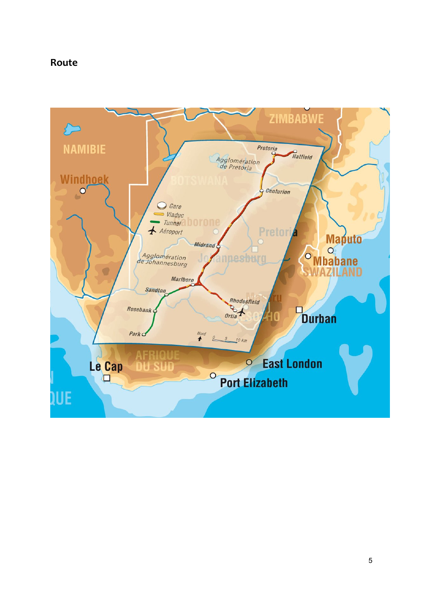### **Route**

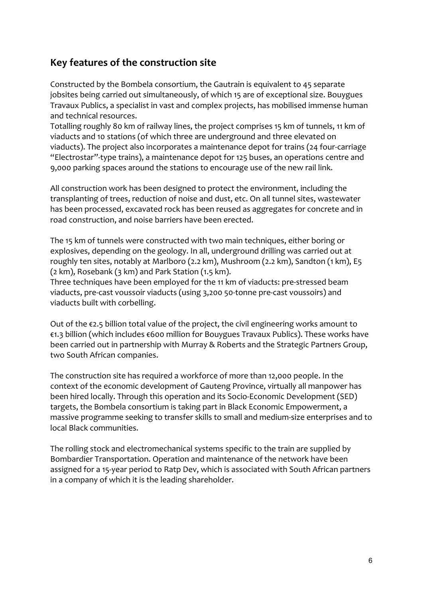## **Key features of the construction site**

Constructed by the Bombela consortium, the Gautrain is equivalent to 45 separate jobsites being carried out simultaneously, of which 15 are of exceptional size. Bouygues Travaux Publics, a specialist in vast and complex projects, has mobilised immense human and technical resources.

Totalling roughly 80 km of railway lines, the project comprises 15 km of tunnels, 11 km of viaducts and 10 stations (of which three are underground and three elevated on viaducts). The project also incorporates a maintenance depot for trains (24 four-carriage "Electrostar"-type trains), a maintenance depot for 125 buses, an operations centre and 9,000 parking spaces around the stations to encourage use of the new rail link.

All construction work has been designed to protect the environment, including the transplanting of trees, reduction of noise and dust, etc. On all tunnel sites, wastewater has been processed, excavated rock has been reused as aggregates for concrete and in road construction, and noise barriers have been erected.

The 15 km of tunnels were constructed with two main techniques, either boring or explosives, depending on the geology. In all, underground drilling was carried out at roughly ten sites, notably at Marlboro (2.2 km), Mushroom (2.2 km), Sandton (1 km), E5 (2 km), Rosebank (3 km) and Park Station (1.5 km).

Three techniques have been employed for the 11 km of viaducts: pre-stressed beam viaducts, pre-cast voussoir viaducts (using 3,200 50-tonne pre-cast voussoirs) and viaducts built with corbelling.

Out of the €2.5 billion total value of the project, the civil engineering works amount to €1.3 billion (which includes €600 million for Bouygues Travaux Publics). These works have been carried out in partnership with Murray & Roberts and the Strategic Partners Group, two South African companies.

The construction site has required a workforce of more than 12,000 people. In the context of the economic development of Gauteng Province, virtually all manpower has been hired locally. Through this operation and its Socio-Economic Development (SED) targets, the Bombela consortium is taking part in Black Economic Empowerment, a massive programme seeking to transfer skills to small and medium-size enterprises and to local Black communities.

The rolling stock and electromechanical systems specific to the train are supplied by Bombardier Transportation. Operation and maintenance of the network have been assigned for a 15-year period to Ratp Dev, which is associated with South African partners in a company of which it is the leading shareholder.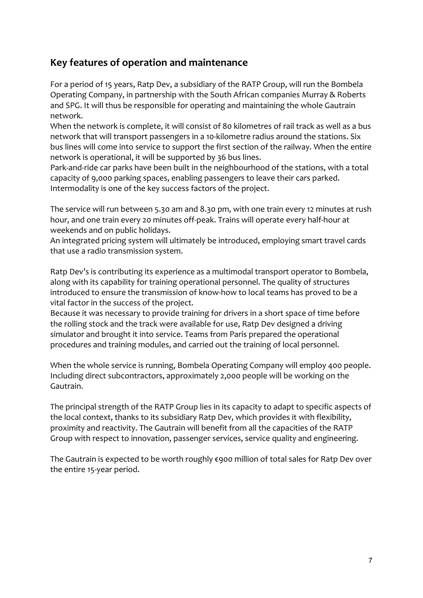## **Key features of operation and maintenance**

For a period of 15 years, Ratp Dev, a subsidiary of the RATP Group, will run the Bombela Operating Company, in partnership with the South African companies Murray & Roberts and SPG. It will thus be responsible for operating and maintaining the whole Gautrain network.

When the network is complete, it will consist of 80 kilometres of rail track as well as a bus network that will transport passengers in a 10-kilometre radius around the stations. Six bus lines will come into service to support the first section of the railway. When the entire network is operational, it will be supported by 36 bus lines.

Park-and-ride car parks have been built in the neighbourhood of the stations, with a total capacity of 9,000 parking spaces, enabling passengers to leave their cars parked. Intermodality is one of the key success factors of the project.

The service will run between 5.30 am and 8.30 pm, with one train every 12 minutes at rush hour, and one train every 20 minutes off-peak. Trains will operate every half-hour at weekends and on public holidays.

An integrated pricing system will ultimately be introduced, employing smart travel cards that use a radio transmission system.

Ratp Dev's is contributing its experience as a multimodal transport operator to Bombela, along with its capability for training operational personnel. The quality of structures introduced to ensure the transmission of know-how to local teams has proved to be a vital factor in the success of the project.

Because it was necessary to provide training for drivers in a short space of time before the rolling stock and the track were available for use, Ratp Dev designed a driving simulator and brought it into service. Teams from Paris prepared the operational procedures and training modules, and carried out the training of local personnel.

When the whole service is running, Bombela Operating Company will employ 400 people. Including direct subcontractors, approximately 2,000 people will be working on the Gautrain.

The principal strength of the RATP Group lies in its capacity to adapt to specific aspects of the local context, thanks to its subsidiary Ratp Dev, which provides it with flexibility, proximity and reactivity. The Gautrain will benefit from all the capacities of the RATP Group with respect to innovation, passenger services, service quality and engineering.

The Gautrain is expected to be worth roughly €900 million of total sales for Ratp Dev over the entire 15-year period.